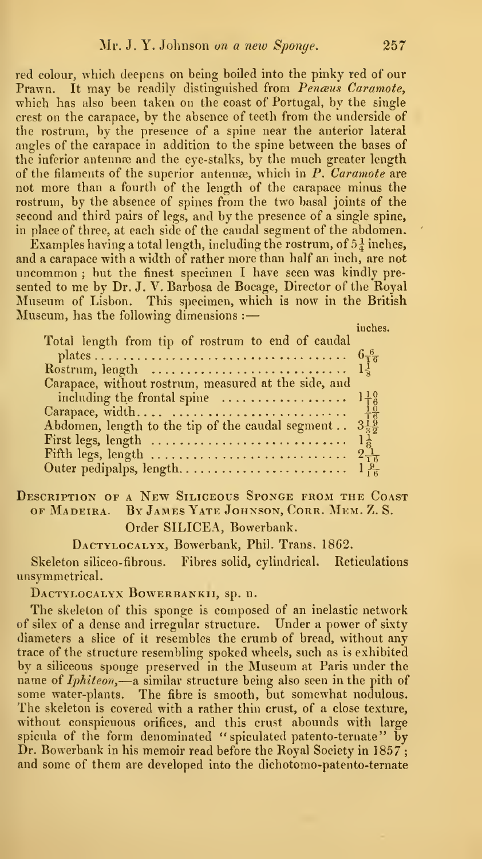red colour, which deepens on being boiled into the pinky red of our Prawn. It may be readily distinguished from Penaus Caramote. which has also been taken on the coast of Portugal, by the single crest on the carapace, by the absence of teeth from the underside of the rostrum, by the presence of a spine near the anterior lateral angles of the carapace in addition to the spine between the bases of the inferior antennæ and the eye-stalks, by the much greater length of the filaments of the superior antennæ, which in  $P$ . Caramote are not more than a fourth of the length of the carapace minus the rostrum, by the absence of spines from the two basal joints of the second and third pairs of legs, and by the presence of a single spine, in place of three, at each side of the caudal segment of the abdomen.

Examples having a total length, including the rostrum, of  $5\frac{1}{4}$  inches, and a carapace with a width of rather more than half an inch, are not uncommon ; but the finest specimen <sup>I</sup> have seen was kindly pre sented to me by Dr. J. V. Barbosa de Bocage, Director of the Royal Museum of Lisbon. This specimen, which is now in the British Museum, has the following dimensions :

inches.

| Total length from tip of rostrum to end of caudal                                              |  |
|------------------------------------------------------------------------------------------------|--|
|                                                                                                |  |
| Rostrum, length $\ldots \ldots \ldots \ldots \ldots \ldots \ldots \ldots \ldots \ldots \ldots$ |  |
| Carapace, without rostrum, measured at the side, and                                           |  |
|                                                                                                |  |
|                                                                                                |  |
|                                                                                                |  |
|                                                                                                |  |
|                                                                                                |  |
|                                                                                                |  |

Description of a New Siliceous Sponge from the Coast OF Madeira. By James Yate Johnson, Cork. Mem. Z. S. Order SILICEA, Bowerbank.

DACTYLOCALYX, Bowerbank, Phil. Trans. 1862.

Skeleton siliceo-fibrous. Fibres solid, cylindrical. Reticulations unsymmetrical.

DACTYLOCALYX BOWERBANKII, sp. n.

The skeleton of this sponge is composed of an inelastic network of silex of a dense and irregular structure. Under a power of sixty diameters a slice of it resembles the crumb of bread, without any trace of the structure resembling spoked wheels, such as is exhibited<br>by a siliceous sponge preserved in the Museum at Paris under the name of *Iphiteon*,—a similar structure being also seen in the pith of some water-plants. The fibre is smooth, but somewhat nodulous. The skeleton is covered with a rather thin crust, of a close texture, without conspicuous orifices, and this crust abounds with large spicula of the form denominated " spiculated patento-ternate" by Dr. Bowerbank in his memoir read before the Royal Society in 1857; and some of them are developed into the dichotomo-patento-ternate